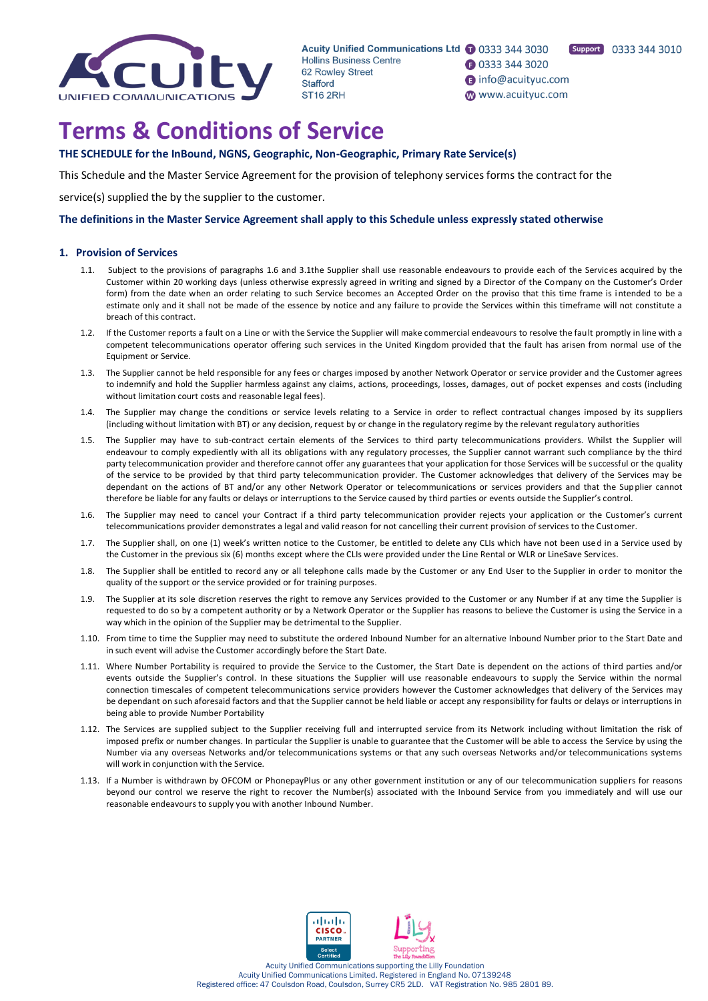

**1** 0333 344 3020

nfo@acuityuc.com

www.acuityuc.com



**Terms & Conditions of Service**

**THE SCHEDULE for the InBound, NGNS, Geographic, Non-Geographic, Primary Rate Service(s)**

This Schedule and the Master Service Agreement for the provision of telephony services forms the contract for the

service(s) supplied the by the supplier to the customer.

**The definitions in the Master Service Agreement shall apply to this Schedule unless expressly stated otherwise**

# **1. Provision of Services**

- 1.1. Subject to the provisions of paragraphs 1.6 and 3.1the Supplier shall use reasonable endeavours to provide each of the Services acquired by the Customer within 20 working days (unless otherwise expressly agreed in writing and signed by a Director of the Company on the Customer's Order form) from the date when an order relating to such Service becomes an Accepted Order on the proviso that this time frame is intended to be a estimate only and it shall not be made of the essence by notice and any failure to provide the Services within this timeframe will not constitute a breach of this contract.
- 1.2. If the Customer reports a fault on a Line or with the Service the Supplier will make commercial endeavours to resolve the fault promptly in line with a competent telecommunications operator offering such services in the United Kingdom provided that the fault has arisen from normal use of the Equipment or Service.
- 1.3. The Supplier cannot be held responsible for any fees or charges imposed by another Network Operator or service provider and the Customer agrees to indemnify and hold the Supplier harmless against any claims, actions, proceedings, losses, damages, out of pocket expenses and costs (including without limitation court costs and reasonable legal fees).
- 1.4. The Supplier may change the conditions or service levels relating to a Service in order to reflect contractual changes imposed by its suppliers (including without limitation with BT) or any decision, request by or change in the regulatory regime by the relevant regulatory authorities
- 1.5. The Supplier may have to sub-contract certain elements of the Services to third party telecommunications providers. Whilst the Supplier will endeavour to comply expediently with all its obligations with any regulatory processes, the Supplier cannot warrant such compliance by the third party telecommunication provider and therefore cannot offer any guarantees that your application for those Services will be successful or the quality of the service to be provided by that third party telecommunication provider. The Customer acknowledges that delivery of the Services may be dependant on the actions of BT and/or any other Network Operator or telecommunications or services providers and that the Supplier cannot therefore be liable for any faults or delays or interruptions to the Service caused by third parties or events outside the Supplier's control.
- 1.6. The Supplier may need to cancel your Contract if a third party telecommunication provider rejects your application or the Customer's current telecommunications provider demonstrates a legal and valid reason for not cancelling their current provision of services to the Customer.
- 1.7. The Supplier shall, on one (1) week's written notice to the Customer, be entitled to delete any CLIs which have not been used in a Service used by the Customer in the previous six (6) months except where the CLIs were provided under the Line Rental or WLR or LineSave Services.
- 1.8. The Supplier shall be entitled to record any or all telephone calls made by the Customer or any End User to the Supplier in order to monitor the quality of the support or the service provided or for training purposes.
- 1.9. The Supplier at its sole discretion reserves the right to remove any Services provided to the Customer or any Number if at any time the Supplier is requested to do so by a competent authority or by a Network Operator or the Supplier has reasons to believe the Customer is using the Service in a way which in the opinion of the Supplier may be detrimental to the Supplier.
- 1.10. From time to time the Supplier may need to substitute the ordered Inbound Number for an alternative Inbound Number prior to the Start Date and in such event will advise the Customer accordingly before the Start Date.
- 1.11. Where Number Portability is required to provide the Service to the Customer, the Start Date is dependent on the actions of third parties and/or events outside the Supplier's control. In these situations the Supplier will use reasonable endeavours to supply the Service within the normal connection timescales of competent telecommunications service providers however the Customer acknowledges that delivery of the Services may be dependant on such aforesaid factors and that the Supplier cannot be held liable or accept any responsibility for faults or delays or interruptions in being able to provide Number Portability
- 1.12. The Services are supplied subject to the Supplier receiving full and interrupted service from its Network including without limitation the risk of imposed prefix or number changes. In particular the Supplier is unable to guarantee that the Customer will be able to access the Service by using the Number via any overseas Networks and/or telecommunications systems or that any such overseas Networks and/or telecommunications systems will work in conjunction with the Service.
- 1.13. If a Number is withdrawn by OFCOM or PhonepayPlus or any other government institution or any of our telecommunication suppliers for reasons beyond our control we reserve the right to recover the Number(s) associated with the Inbound Service from you immediately and will use our reasonable endeavours to supply you with another Inbound Number.



Acuity Unified Communications supporting the Lilly Foundation Acuity Unified Communications Limited. Registered in England No. 07139248 Registered office: 47 Coulsdon Road, Coulsdon, Surrey CR5 2LD. VAT Registration No. 985 2801 89.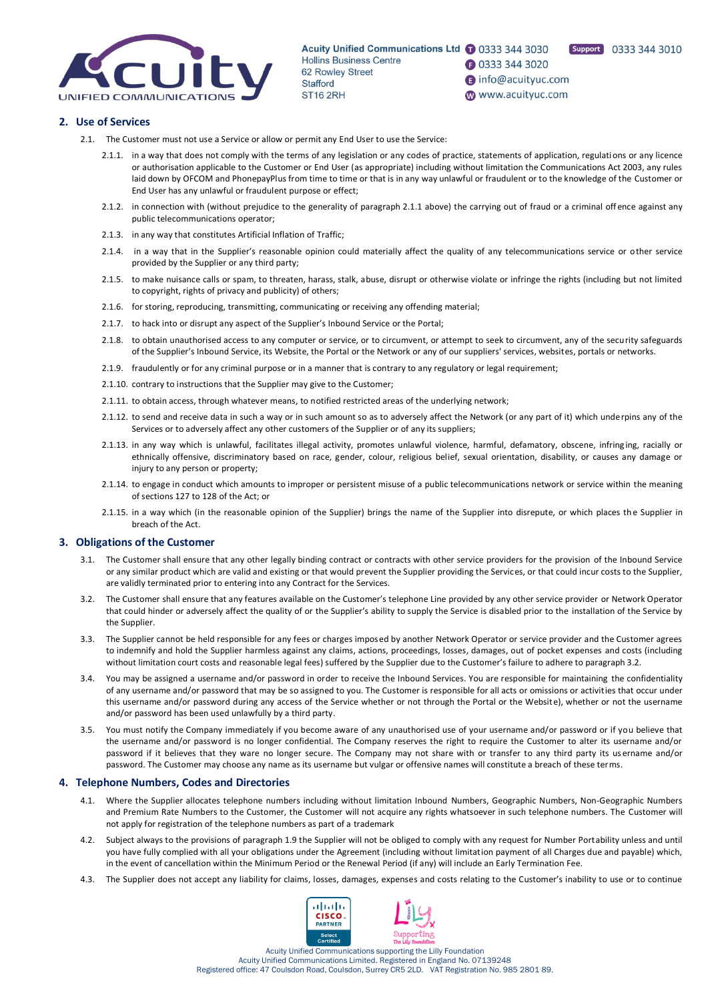

Support 0333 344 3010

- **1** 0333 344 3020  $\bigcirc$  info@acuityuc.com
- www.acuityuc.com

# **2. Use of Services**

- 2.1. The Customer must not use a Service or allow or permit any End User to use the Service:
	- 2.1.1. in a way that does not comply with the terms of any legislation or any codes of practice, statements of application, regulations or any licence or authorisation applicable to the Customer or End User (as appropriate) including without limitation the Communications Act 2003, any rules laid down by OFCOM and PhonepayPlus from time to time or that is in any way unlawful or fraudulent or to the knowledge of the Customer or End User has any unlawful or fraudulent purpose or effect;
	- 2.1.2. in connection with (without prejudice to the generality of paragraph 2.1.1 above) the carrying out of fraud or a criminal offence against any public telecommunications operator;
	- 2.1.3. in any way that constitutes Artificial Inflation of Traffic;
	- 2.1.4. in a way that in the Supplier's reasonable opinion could materially affect the quality of any telecommunications service or other service provided by the Supplier or any third party;
	- 2.1.5. to make nuisance calls or spam, to threaten, harass, stalk, abuse, disrupt or otherwise violate or infringe the rights (including but not limited to copyright, rights of privacy and publicity) of others;
	- 2.1.6. for storing, reproducing, transmitting, communicating or receiving any offending material;
	- 2.1.7. to hack into or disrupt any aspect of the Supplier's Inbound Service or the Portal;
	- 2.1.8. to obtain unauthorised access to any computer or service, or to circumvent, or attempt to seek to circumvent, any of the security safeguards of the Supplier's Inbound Service, its Website, the Portal or the Network or any of our suppliers' services, websites, portals or networks.
	- 2.1.9. fraudulently or for any criminal purpose or in a manner that is contrary to any regulatory or legal requirement;
	- 2.1.10. contrary to instructions that the Supplier may give to the Customer;
	- 2.1.11. to obtain access, through whatever means, to notified restricted areas of the underlying network;
	- 2.1.12. to send and receive data in such a way or in such amount so as to adversely affect the Network (or any part of it) which underpins any of the Services or to adversely affect any other customers of the Supplier or of any its suppliers;
	- 2.1.13. in any way which is unlawful, facilitates illegal activity, promotes unlawful violence, harmful, defamatory, obscene, infringing, racially or ethnically offensive, discriminatory based on race, gender, colour, religious belief, sexual orientation, disability, or causes any damage or injury to any person or property;
	- 2.1.14. to engage in conduct which amounts to improper or persistent misuse of a public telecommunications network or service within the meaning of sections 127 to 128 of the Act; or
	- 2.1.15. in a way which (in the reasonable opinion of the Supplier) brings the name of the Supplier into disrepute, or which places the Supplier in breach of the Act.

# **3. Obligations of the Customer**

- 3.1. The Customer shall ensure that any other legally binding contract or contracts with other service providers for the provision of the Inbound Service or any similar product which are valid and existing or that would prevent the Supplier providing the Services, or that could incur costs to the Supplier, are validly terminated prior to entering into any Contract for the Services.
- 3.2. The Customer shall ensure that any features available on the Customer's telephone Line provided by any other service provider or Network Operator that could hinder or adversely affect the quality of or the Supplier's ability to supply the Service is disabled prior to the installation of the Service by the Supplier.
- 3.3. The Supplier cannot be held responsible for any fees or charges imposed by another Network Operator or service provider and the Customer agrees to indemnify and hold the Supplier harmless against any claims, actions, proceedings, losses, damages, out of pocket expenses and costs (including without limitation court costs and reasonable legal fees) suffered by the Supplier due to the Customer's failure to adhere to paragraph 3.2.
- 3.4. You may be assigned a username and/or password in order to receive the Inbound Services. You are responsible for maintaining the confidentiality of any username and/or password that may be so assigned to you. The Customer is responsible for all acts or omissions or activities that occur under this username and/or password during any access of the Service whether or not through the Portal or the Website), whether or not the username and/or password has been used unlawfully by a third party.
- 3.5. You must notify the Company immediately if you become aware of any unauthorised use of your username and/or password or if you believe that the username and/or password is no longer confidential. The Company reserves the right to require the Customer to alter its username and/or password if it believes that they ware no longer secure. The Company may not share with or transfer to any third party its us ername and/or password. The Customer may choose any name as its username but vulgar or offensive names will constitute a breach of these terms.

# **4. Telephone Numbers, Codes and Directories**

- 4.1. Where the Supplier allocates telephone numbers including without limitation Inbound Numbers, Geographic Numbers, Non-Geographic Numbers and Premium Rate Numbers to the Customer, the Customer will not acquire any rights whatsoever in such telephone numbers. The Customer will not apply for registration of the telephone numbers as part of a trademark
- 4.2. Subject always to the provisions of paragraph 1.9 the Supplier will not be obliged to comply with any request for Number Portability unless and until you have fully complied with all your obligations under the Agreement (including without limitation payment of all Charges due and payable) which, in the event of cancellation within the Minimum Period or the Renewal Period (if any) will include an Early Termination Fee.
- 4.3. The Supplier does not accept any liability for claims, losses, damages, expenses and costs relating to the Customer's inability to use or to continue

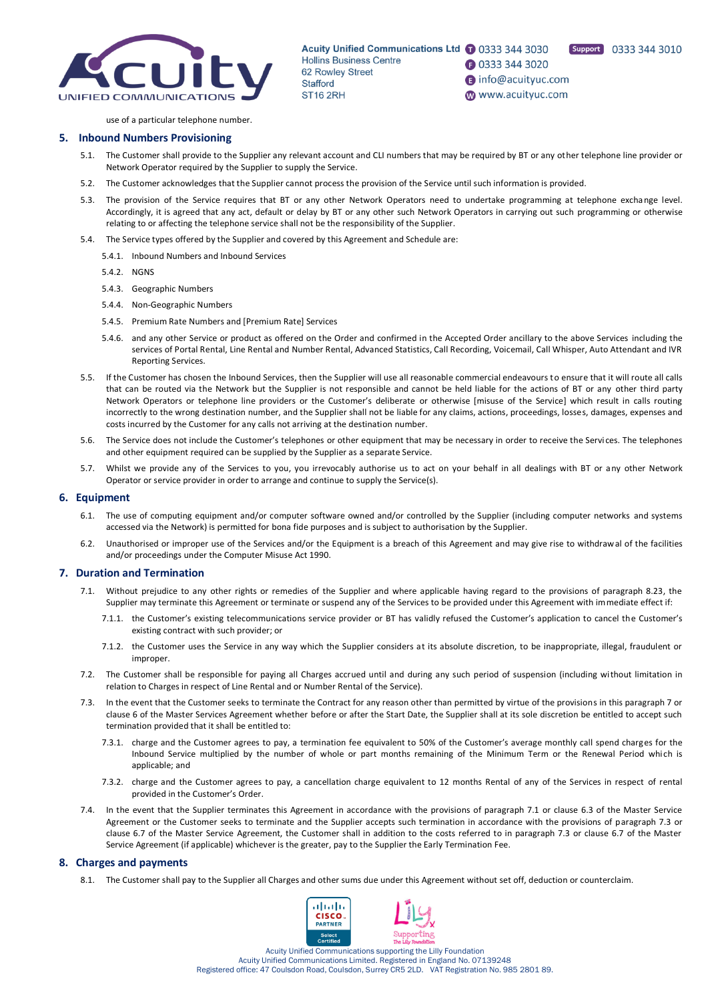

Support 0333 344 3010

nfo@acuityuc.com www.acuityuc.com

use of a particular telephone number.

### **5. Inbound Numbers Provisioning**

- 5.1. The Customer shall provide to the Supplier any relevant account and CLI numbers that may be required by BT or any other telephone line provider or Network Operator required by the Supplier to supply the Service.
- 5.2. The Customer acknowledges that the Supplier cannot process the provision of the Service until such information is provided.
- 5.3. The provision of the Service requires that BT or any other Network Operators need to undertake programming at telephone exchange level. Accordingly, it is agreed that any act, default or delay by BT or any other such Network Operators in carrying out such programming or otherwise relating to or affecting the telephone service shall not be the responsibility of the Supplier.
- 5.4. The Service types offered by the Supplier and covered by this Agreement and Schedule are:
	- 5.4.1. Inbound Numbers and Inbound Services
	- 5.4.2. NGNS
	- 5.4.3. Geographic Numbers
	- 5.4.4. Non-Geographic Numbers
	- 5.4.5. Premium Rate Numbers and [Premium Rate] Services
	- 5.4.6. and any other Service or product as offered on the Order and confirmed in the Accepted Order ancillary to the above Services including the services of Portal Rental, Line Rental and Number Rental, Advanced Statistics, Call Recording, Voicemail, Call Whisper, Auto Attendant and IVR Reporting Services.
- 5.5. If the Customer has chosen the Inbound Services, then the Supplier will use all reasonable commercial endeavours to ensure that it will route all calls that can be routed via the Network but the Supplier is not responsible and cannot be held liable for the actions of BT or any other third party Network Operators or telephone line providers or the Customer's deliberate or otherwise [misuse of the Service] which result in calls routing incorrectly to the wrong destination number, and the Supplier shall not be liable for any claims, actions, proceedings, losses, damages, expenses and costs incurred by the Customer for any calls not arriving at the destination number.
- 5.6. The Service does not include the Customer's telephones or other equipment that may be necessary in order to receive the Servi ces. The telephones and other equipment required can be supplied by the Supplier as a separate Service.
- 5.7. Whilst we provide any of the Services to you, you irrevocably authorise us to act on your behalf in all dealings with BT or any other Network Operator or service provider in order to arrange and continue to supply the Service(s).

#### **6. Equipment**

- 6.1. The use of computing equipment and/or computer software owned and/or controlled by the Supplier (including computer networks and systems accessed via the Network) is permitted for bona fide purposes and is subject to authorisation by the Supplier.
- 6.2. Unauthorised or improper use of the Services and/or the Equipment is a breach of this Agreement and may give rise to withdrawal of the facilities and/or proceedings under the Computer Misuse Act 1990.

#### **7. Duration and Termination**

- 7.1. Without prejudice to any other rights or remedies of the Supplier and where applicable having regard to the provisions of paragraph 8.23, the Supplier may terminate this Agreement or terminate or suspend any of the Services to be provided under this Agreement with immediate effect if:
	- 7.1.1. the Customer's existing telecommunications service provider or BT has validly refused the Customer's application to cancel the Customer's existing contract with such provider; or
	- 7.1.2. the Customer uses the Service in any way which the Supplier considers at its absolute discretion, to be inappropriate, illegal, fraudulent or improper.
- 7.2. The Customer shall be responsible for paying all Charges accrued until and during any such period of suspension (including without limitation in relation to Charges in respect of Line Rental and or Number Rental of the Service).
- 7.3. In the event that the Customer seeks to terminate the Contract for any reason other than permitted by virtue of the provisions in this paragraph 7 or clause 6 of the Master Services Agreement whether before or after the Start Date, the Supplier shall at its sole discretion be entitled to accept such termination provided that it shall be entitled to:
	- 7.3.1. charge and the Customer agrees to pay, a termination fee equivalent to 50% of the Customer's average monthly call spend charges for the Inbound Service multiplied by the number of whole or part months remaining of the Minimum Term or the Renewal Period which is applicable; and
	- 7.3.2. charge and the Customer agrees to pay, a cancellation charge equivalent to 12 months Rental of any of the Services in respect of rental provided in the Customer's Order.
- 7.4. In the event that the Supplier terminates this Agreement in accordance with the provisions of paragraph 7.1 or clause 6.3 of the Master Service Agreement or the Customer seeks to terminate and the Supplier accepts such termination in accordance with the provisions of paragraph 7.3 or clause 6.7 of the Master Service Agreement, the Customer shall in addition to the costs referred to in paragraph 7.3 or clause 6.7 of the Master Service Agreement (if applicable) whichever is the greater, pay to the Supplier the Early Termination Fee.

#### **8. Charges and payments**

8.1. The Customer shall pay to the Supplier all Charges and other sums due under this Agreement without set off, deduction or counterclaim.

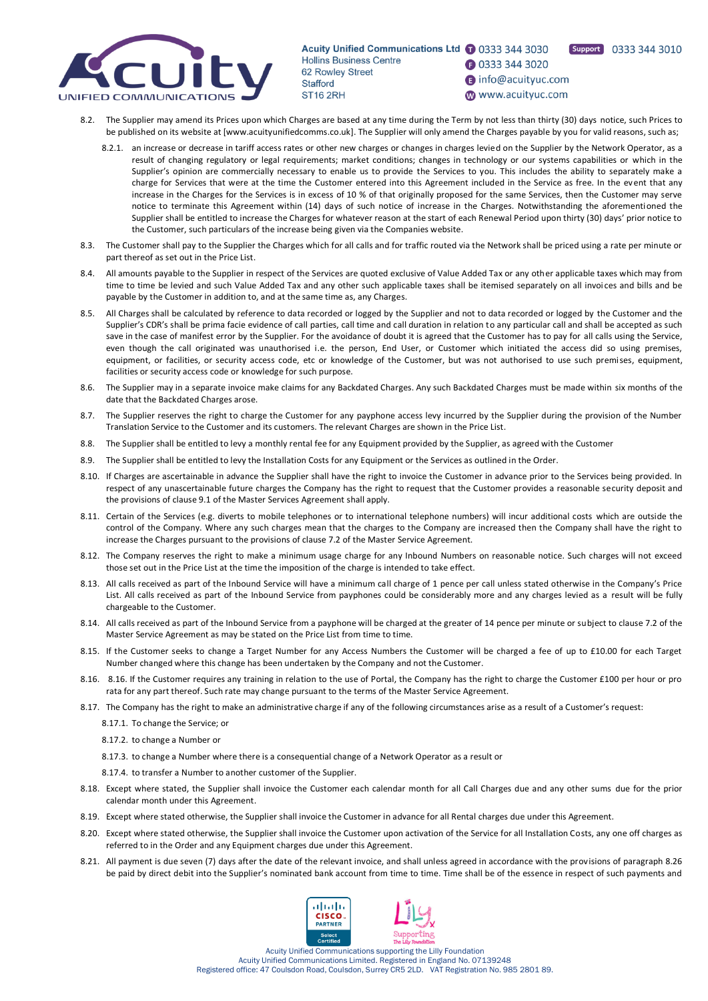

**1** 0333 344 3020 nfo@acuityuc.com

Support 0333 344 3010

- www.acuityuc.com
- 8.2. The Supplier may amend its Prices upon which Charges are based at any time during the Term by not less than thirty (30) days notice, such Prices to be published on its website at [www.acuityunifiedcomms.co.uk]. The Supplier will only amend the Charges payable by you for valid reasons, such as;
	- 8.2.1. an increase or decrease in tariff access rates or other new charges or changes in charges levied on the Supplier by the Network Operator, as a result of changing regulatory or legal requirements; market conditions; changes in technology or our systems capabilities or which in the Supplier's opinion are commercially necessary to enable us to provide the Services to you. This includes the ability to separately make a charge for Services that were at the time the Customer entered into this Agreement included in the Service as free. In the event that any increase in the Charges for the Services is in excess of 10 % of that originally proposed for the same Services, then the Customer may serve notice to terminate this Agreement within (14) days of such notice of increase in the Charges. Notwithstanding the aforementioned the Supplier shall be entitled to increase the Charges for whatever reason at the start of each Renewal Period upon thirty (30) days' prior notice to the Customer, such particulars of the increase being given via the Companies website.
- 8.3. The Customer shall pay to the Supplier the Charges which for all calls and for traffic routed via the Network shall be priced using a rate per minute or part thereof as set out in the Price List.
- 8.4. All amounts payable to the Supplier in respect of the Services are quoted exclusive of Value Added Tax or any other applicable taxes which may from time to time be levied and such Value Added Tax and any other such applicable taxes shall be itemised separately on all invoices and bills and be payable by the Customer in addition to, and at the same time as, any Charges.
- 8.5. All Charges shall be calculated by reference to data recorded or logged by the Supplier and not to data recorded or logged by the Customer and the Supplier's CDR's shall be prima facie evidence of call parties, call time and call duration in relation to any particular call and shall be accepted as such save in the case of manifest error by the Supplier. For the avoidance of doubt it is agreed that the Customer has to pay for all calls using the Service, even though the call originated was unauthorised i.e. the person, End User, or Customer which initiated the access did so using premises, equipment, or facilities, or security access code, etc or knowledge of the Customer, but was not authorised to use such premises, equipment, facilities or security access code or knowledge for such purpose.
- 8.6. The Supplier may in a separate invoice make claims for any Backdated Charges. Any such Backdated Charges must be made within six months of the date that the Backdated Charges arose.
- 8.7. The Supplier reserves the right to charge the Customer for any payphone access levy incurred by the Supplier during the provision of the Number Translation Service to the Customer and its customers. The relevant Charges are shown in the Price List.
- 8.8. The Supplier shall be entitled to levy a monthly rental fee for any Equipment provided by the Supplier, as agreed with the Customer
- 8.9. The Supplier shall be entitled to levy the Installation Costs for any Equipment or the Services as outlined in the Order.
- 8.10. If Charges are ascertainable in advance the Supplier shall have the right to invoice the Customer in advance prior to the Services being provided. In respect of any unascertainable future charges the Company has the right to request that the Customer provides a reasonable security deposit and the provisions of clause 9.1 of the Master Services Agreement shall apply.
- 8.11. Certain of the Services (e.g. diverts to mobile telephones or to international telephone numbers) will incur additional costs which are outside the control of the Company. Where any such charges mean that the charges to the Company are increased then the Company shall have the right to increase the Charges pursuant to the provisions of clause 7.2 of the Master Service Agreement.
- 8.12. The Company reserves the right to make a minimum usage charge for any Inbound Numbers on reasonable notice. Such charges will not exceed those set out in the Price List at the time the imposition of the charge is intended to take effect.
- 8.13. All calls received as part of the Inbound Service will have a minimum call charge of 1 pence per call unless stated otherwise in the Company's Price List. All calls received as part of the Inbound Service from payphones could be considerably more and any charges levied as a result will be fully chargeable to the Customer.
- 8.14. All calls received as part of the Inbound Service from a payphone will be charged at the greater of 14 pence per minute or subject to clause 7.2 of the Master Service Agreement as may be stated on the Price List from time to time.
- 8.15. If the Customer seeks to change a Target Number for any Access Numbers the Customer will be charged a fee of up to £10.00 for each Target Number changed where this change has been undertaken by the Company and not the Customer.
- 8.16. 8.16. If the Customer requires any training in relation to the use of Portal, the Company has the right to charge the Customer £100 per hour or pro rata for any part thereof. Such rate may change pursuant to the terms of the Master Service Agreement.
- 8.17. The Company has the right to make an administrative charge if any of the following circumstances arise as a result of a Customer's request:
	- 8.17.1. To change the Service; or
	- 8.17.2. to change a Number or
	- 8.17.3. to change a Number where there is a consequential change of a Network Operator as a result or
	- 8.17.4. to transfer a Number to another customer of the Supplier.
- 8.18. Except where stated, the Supplier shall invoice the Customer each calendar month for all Call Charges due and any other sums due for the prior calendar month under this Agreement.
- 8.19. Except where stated otherwise, the Supplier shall invoice the Customer in advance for all Rental charges due under this Agreement.
- 8.20. Except where stated otherwise, the Supplier shall invoice the Customer upon activation of the Service for all Installation Costs, any one off charges as referred to in the Order and any Equipment charges due under this Agreement.
- 8.21. All payment is due seven (7) days after the date of the relevant invoice, and shall unless agreed in accordance with the provisions of paragraph 8.26 be paid by direct debit into the Supplier's nominated bank account from time to time. Time shall be of the essence in respect of such payments and

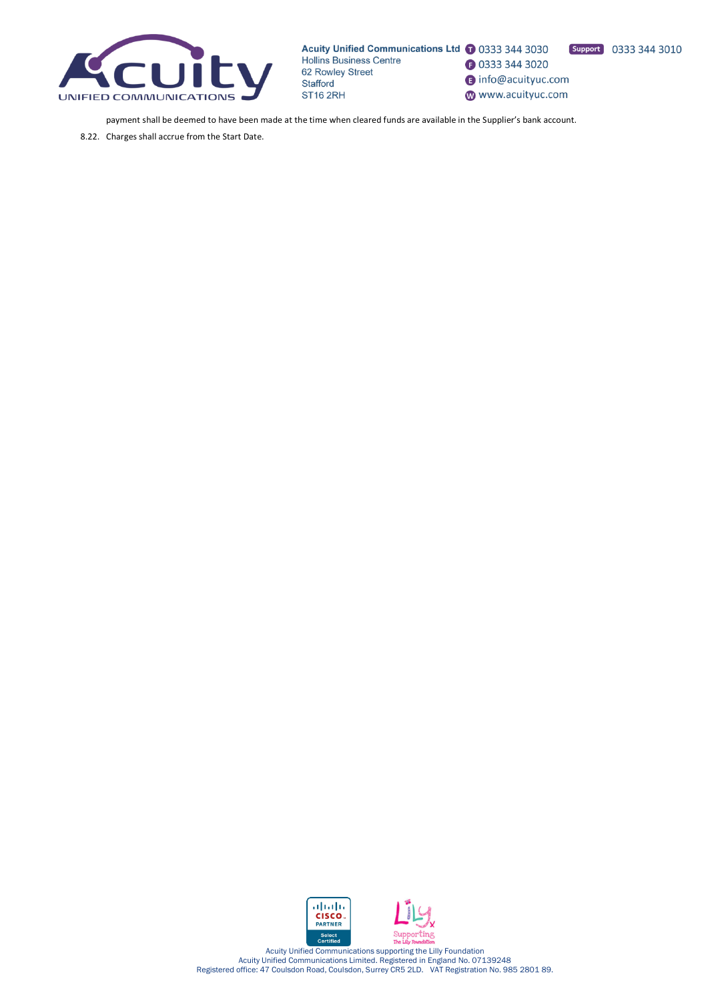

Support 0333 344 3010 **3** 0333 344 3020

nfo@acuityuc.com

www.acuityuc.com

payment shall be deemed to have been made at the time when cleared funds are available in the Supplier's bank account.

8.22. Charges shall accrue from the Start Date.



Acuity Unified Communications supporting the Lilly Foundation Acuity Unified Communications Limited. Registered in England No. 07139248 Registered office: 47 Coulsdon Road, Coulsdon, Surrey CR5 2LD. VAT Registration No. 985 2801 89.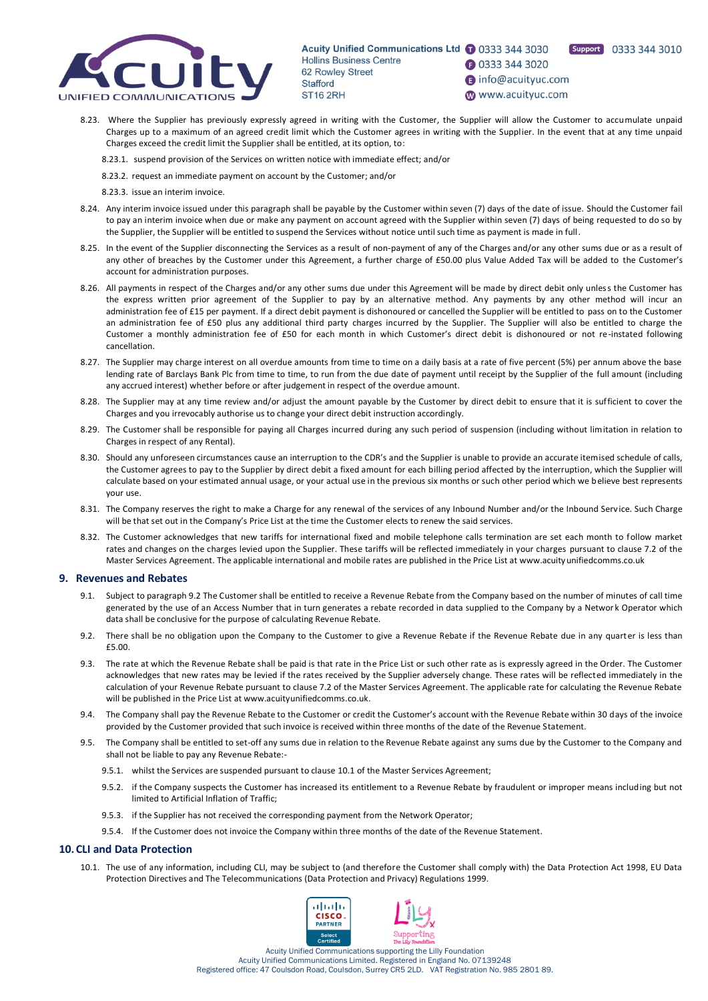

**1** 0333 344 3020 nfo@acuityuc.com

Support 0333 344 3010

- www.acuityuc.com
- 8.23. Where the Supplier has previously expressly agreed in writing with the Customer, the Supplier will allow the Customer to accumulate unpaid Charges up to a maximum of an agreed credit limit which the Customer agrees in writing with the Supplier. In the event that at any time unpaid Charges exceed the credit limit the Supplier shall be entitled, at its option, to:
	- 8.23.1. suspend provision of the Services on written notice with immediate effect; and/or
	- 8.23.2. request an immediate payment on account by the Customer; and/or
	- 8.23.3. issue an interim invoice.
- 8.24. Any interim invoice issued under this paragraph shall be payable by the Customer within seven (7) days of the date of issue. Should the Customer fail to pay an interim invoice when due or make any payment on account agreed with the Supplier within seven (7) days of being requested to do so by the Supplier, the Supplier will be entitled to suspend the Services without notice until such time as payment is made in full.
- 8.25. In the event of the Supplier disconnecting the Services as a result of non-payment of any of the Charges and/or any other sums due or as a result of any other of breaches by the Customer under this Agreement, a further charge of £50.00 plus Value Added Tax will be added to the Customer's account for administration purposes.
- 8.26. All payments in respect of the Charges and/or any other sums due under this Agreement will be made by direct debit only unless the Customer has the express written prior agreement of the Supplier to pay by an alternative method. Any payments by any other method will incur an administration fee of £15 per payment. If a direct debit payment is dishonoured or cancelled the Supplier will be entitled to pass on to the Customer an administration fee of £50 plus any additional third party charges incurred by the Supplier. The Supplier will also be entitled to charge the Customer a monthly administration fee of £50 for each month in which Customer's direct debit is dishonoured or not re-instated following cancellation.
- 8.27. The Supplier may charge interest on all overdue amounts from time to time on a daily basis at a rate of five percent (5%) per annum above the base lending rate of Barclays Bank Plc from time to time, to run from the due date of payment until receipt by the Supplier of the full amount (including any accrued interest) whether before or after judgement in respect of the overdue amount.
- 8.28. The Supplier may at any time review and/or adjust the amount payable by the Customer by direct debit to ensure that it is sufficient to cover the Charges and you irrevocably authorise us to change your direct debit instruction accordingly.
- 8.29. The Customer shall be responsible for paying all Charges incurred during any such period of suspension (including without limitation in relation to Charges in respect of any Rental).
- 8.30. Should any unforeseen circumstances cause an interruption to the CDR's and the Supplier is unable to provide an accurate itemised schedule of calls, the Customer agrees to pay to the Supplier by direct debit a fixed amount for each billing period affected by the interruption, which the Supplier will calculate based on your estimated annual usage, or your actual use in the previous six months or such other period which we believe best represents your use.
- 8.31. The Company reserves the right to make a Charge for any renewal of the services of any Inbound Number and/or the Inbound Service. Such Charge will be that set out in the Company's Price List at the time the Customer elects to renew the said services.
- 8.32. The Customer acknowledges that new tariffs for international fixed and mobile telephone calls termination are set each month to follow market rates and changes on the charges levied upon the Supplier. These tariffs will be reflected immediately in your charges pursuant to clause 7.2 of the Master Services Agreement. The applicable international and mobile rates are published in the Price List at www.acuityunifiedcomms.co.uk

# **9. Revenues and Rebates**

- 9.1. Subject to paragraph 9.2 The Customer shall be entitled to receive a Revenue Rebate from the Company based on the number of minutes of call time generated by the use of an Access Number that in turn generates a rebate recorded in data supplied to the Company by a Network Operator which data shall be conclusive for the purpose of calculating Revenue Rebate.
- 9.2. There shall be no obligation upon the Company to the Customer to give a Revenue Rebate if the Revenue Rebate due in any quarter is less than £5.00.
- 9.3. The rate at which the Revenue Rebate shall be paid is that rate in the Price List or such other rate as is expressly agreed in the Order. The Customer acknowledges that new rates may be levied if the rates received by the Supplier adversely change. These rates will be reflected immediately in the calculation of your Revenue Rebate pursuant to clause 7.2 of the Master Services Agreement. The applicable rate for calculating the Revenue Rebate will be published in the Price List at www.acuityunifiedcomms.co.uk.
- 9.4. The Company shall pay the Revenue Rebate to the Customer or credit the Customer's account with the Revenue Rebate within 30 days of the invoice provided by the Customer provided that such invoice is received within three months of the date of the Revenue Statement.
- 9.5. The Company shall be entitled to set-off any sums due in relation to the Revenue Rebate against any sums due by the Customer to the Company and shall not be liable to pay any Revenue Rebate:-
	- 9.5.1. whilst the Services are suspended pursuant to clause 10.1 of the Master Services Agreement;
	- 9.5.2. if the Company suspects the Customer has increased its entitlement to a Revenue Rebate by fraudulent or improper means including but not limited to Artificial Inflation of Traffic;
	- 9.5.3. if the Supplier has not received the corresponding payment from the Network Operator;
	- 9.5.4. If the Customer does not invoice the Company within three months of the date of the Revenue Statement.

# **10. CLI and Data Protection**

10.1. The use of any information, including CLI, may be subject to (and therefore the Customer shall comply with) the Data Protection Act 1998, EU Data Protection Directives and The Telecommunications (Data Protection and Privacy) Regulations 1999.

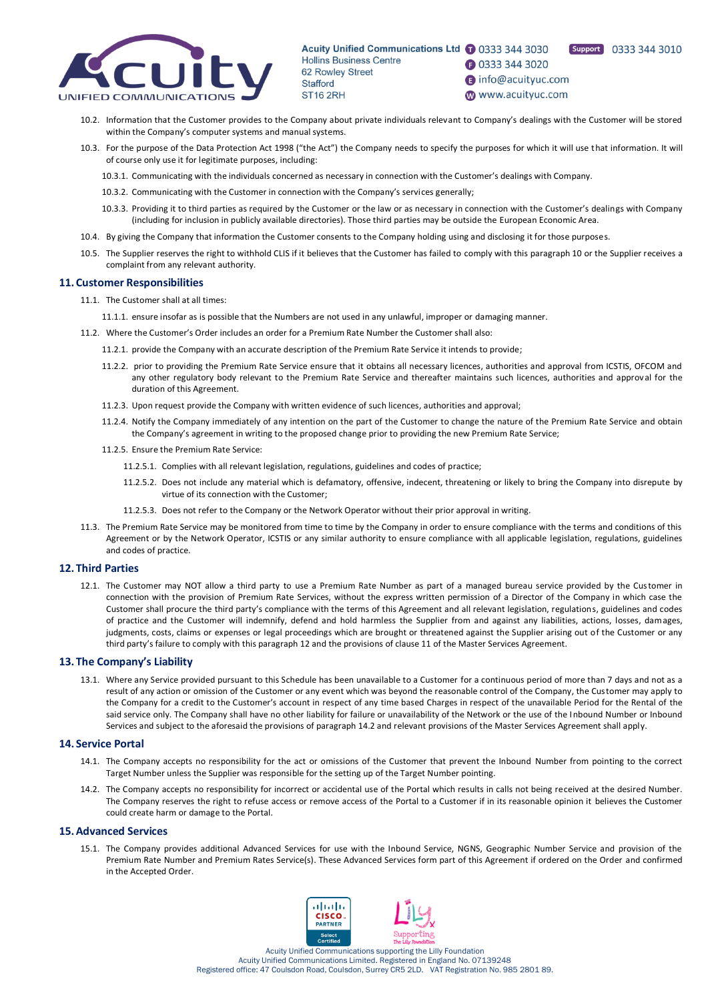



- **1** 0333 344 3020 nfo@acuityuc.com
- www.acuityuc.com
- 10.2. Information that the Customer provides to the Company about private individuals relevant to Company's dealings with the Customer will be stored within the Company's computer systems and manual systems.
- 10.3. For the purpose of the Data Protection Act 1998 ("the Act") the Company needs to specify the purposes for which it will use that information. It will of course only use it for legitimate purposes, including:
	- 10.3.1. Communicating with the individuals concerned as necessary in connection with the Customer's dealings with Company.
	- 10.3.2. Communicating with the Customer in connection with the Company's services generally;
	- 10.3.3. Providing it to third parties as required by the Customer or the law or as necessary in connection with the Customer's dealings with Company (including for inclusion in publicly available directories). Those third parties may be outside the European Economic Area.
- 10.4. By giving the Company that information the Customer consents to the Company holding using and disclosing it for those purposes.
- 10.5. The Supplier reserves the right to withhold CLIS if it believes that the Customer has failed to comply with this paragraph 10 or the Supplier receives a complaint from any relevant authority.

#### **11. Customer Responsibilities**

- 11.1. The Customer shall at all times:
	- 11.1.1. ensure insofar as is possible that the Numbers are not used in any unlawful, improper or damaging manner.
- 11.2. Where the Customer's Order includes an order for a Premium Rate Number the Customer shall also:
	- 11.2.1. provide the Company with an accurate description of the Premium Rate Service it intends to provide;
	- 11.2.2. prior to providing the Premium Rate Service ensure that it obtains all necessary licences, authorities and approval from ICSTIS, OFCOM and any other regulatory body relevant to the Premium Rate Service and thereafter maintains such licences, authorities and approval for the duration of this Agreement.
	- 11.2.3. Upon request provide the Company with written evidence of such licences, authorities and approval;
	- 11.2.4. Notify the Company immediately of any intention on the part of the Customer to change the nature of the Premium Rate Service and obtain the Company's agreement in writing to the proposed change prior to providing the new Premium Rate Service;
	- 11.2.5. Ensure the Premium Rate Service:
		- 11.2.5.1. Complies with all relevant legislation, regulations, guidelines and codes of practice;
		- 11.2.5.2. Does not include any material which is defamatory, offensive, indecent, threatening or likely to bring the Company into disrepute by virtue of its connection with the Customer;
		- 11.2.5.3. Does not refer to the Company or the Network Operator without their prior approval in writing.
- 11.3. The Premium Rate Service may be monitored from time to time by the Company in order to ensure compliance with the terms and conditions of this Agreement or by the Network Operator, ICSTIS or any similar authority to ensure compliance with all applicable legislation, regulations, guidelines and codes of practice.

# **12. Third Parties**

12.1. The Customer may NOT allow a third party to use a Premium Rate Number as part of a managed bureau service provided by the Customer in connection with the provision of Premium Rate Services, without the express written permission of a Director of the Company in which case the Customer shall procure the third party's compliance with the terms of this Agreement and all relevant legislation, regulations, guidelines and codes of practice and the Customer will indemnify, defend and hold harmless the Supplier from and against any liabilities, actions, losses, damages, judgments, costs, claims or expenses or legal proceedings which are brought or threatened against the Supplier arising out of the Customer or any third party's failure to comply with this paragraph 12 and the provisions of clause 11 of the Master Services Agreement.

#### **13. The Company's Liability**

13.1. Where any Service provided pursuant to this Schedule has been unavailable to a Customer for a continuous period of more than 7 days and not as a result of any action or omission of the Customer or any event which was beyond the reasonable control of the Company, the Customer may apply to the Company for a credit to the Customer's account in respect of any time based Charges in respect of the unavailable Period for the Rental of the said service only. The Company shall have no other liability for failure or unavailability of the Network or the use of the Inbound Number or Inbound Services and subject to the aforesaid the provisions of paragraph 14.2 and relevant provisions of the Master Services Agreement shall apply.

#### **14. Service Portal**

- 14.1. The Company accepts no responsibility for the act or omissions of the Customer that prevent the Inbound Number from pointing to the correct Target Number unless the Supplier was responsible for the setting up of the Target Number pointing.
- 14.2. The Company accepts no responsibility for incorrect or accidental use of the Portal which results in calls not being received at the desired Number. The Company reserves the right to refuse access or remove access of the Portal to a Customer if in its reasonable opinion it believes the Customer could create harm or damage to the Portal.

### **15.Advanced Services**

15.1. The Company provides additional Advanced Services for use with the Inbound Service, NGNS, Geographic Number Service and provision of the Premium Rate Number and Premium Rates Service(s). These Advanced Services form part of this Agreement if ordered on the Order and confirmed in the Accepted Order.

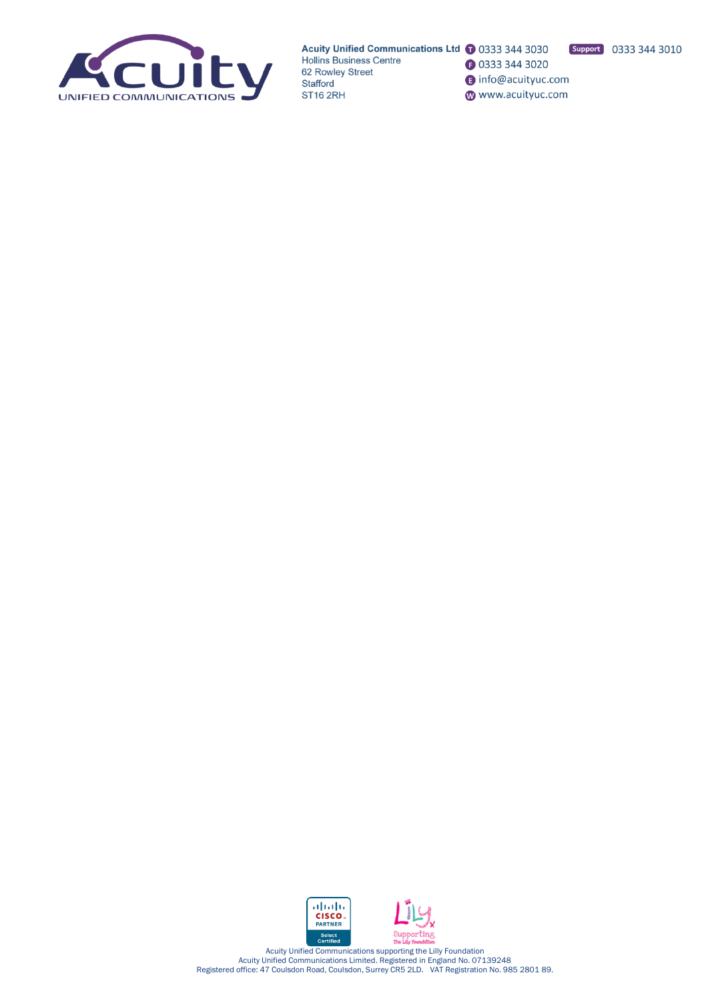

**3** 0333 344 3020

nfo@acuityuc.com www.acuityuc.com





Acuity Unified Communications supporting the Lilly Foundation Acuity Unified Communications Limited. Registered in England No. 07139248 Registered office: 47 Coulsdon Road, Coulsdon, Surrey CR5 2LD. VAT Registration No. 985 2801 89.